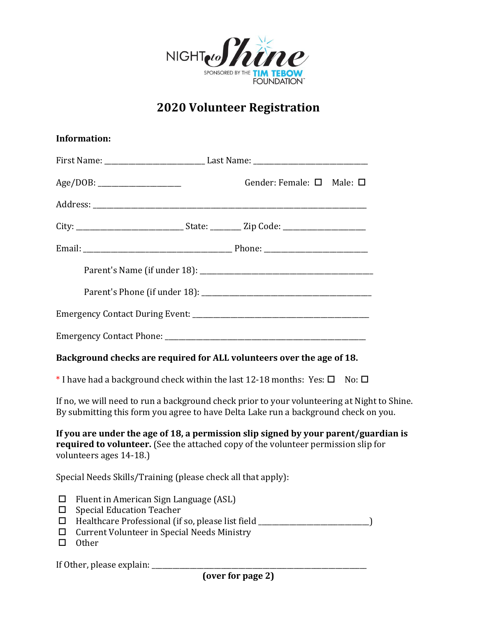

## **2020 Volunteer Registration**

|                        | <b>Information:</b>                                                                                                                                                                                     |                                                                                                                                                                                    |  |  |
|------------------------|---------------------------------------------------------------------------------------------------------------------------------------------------------------------------------------------------------|------------------------------------------------------------------------------------------------------------------------------------------------------------------------------------|--|--|
|                        |                                                                                                                                                                                                         |                                                                                                                                                                                    |  |  |
|                        | Age/DOB:                                                                                                                                                                                                | Gender: Female: □ Male: □                                                                                                                                                          |  |  |
|                        |                                                                                                                                                                                                         |                                                                                                                                                                                    |  |  |
|                        |                                                                                                                                                                                                         |                                                                                                                                                                                    |  |  |
|                        |                                                                                                                                                                                                         |                                                                                                                                                                                    |  |  |
|                        |                                                                                                                                                                                                         |                                                                                                                                                                                    |  |  |
|                        |                                                                                                                                                                                                         |                                                                                                                                                                                    |  |  |
|                        |                                                                                                                                                                                                         |                                                                                                                                                                                    |  |  |
|                        |                                                                                                                                                                                                         |                                                                                                                                                                                    |  |  |
|                        |                                                                                                                                                                                                         | Background checks are required for ALL volunteers over the age of 18.                                                                                                              |  |  |
|                        |                                                                                                                                                                                                         | $*$ I have had a background check within the last 12-18 months: Yes: $\square$<br>No: $\square$                                                                                    |  |  |
|                        |                                                                                                                                                                                                         | If no, we will need to run a background check prior to your volunteering at Night to Shine.<br>By submitting this form you agree to have Delta Lake run a background check on you. |  |  |
|                        | volunteers ages 14-18.)                                                                                                                                                                                 | If you are under the age of 18, a permission slip signed by your parent/guardian is<br>required to volunteer. (See the attached copy of the volunteer permission slip for          |  |  |
|                        | Special Needs Skills/Training (please check all that apply):                                                                                                                                            |                                                                                                                                                                                    |  |  |
| ப<br>□<br>◻<br>□<br>ΙI | Fluent in American Sign Language (ASL)<br><b>Special Education Teacher</b><br>Healthcare Professional (if so, please list field ________<br><b>Current Volunteer in Special Needs Ministry</b><br>Other |                                                                                                                                                                                    |  |  |

If Other, please explain: \_\_\_\_\_\_\_\_\_\_\_\_\_\_\_\_\_\_\_\_\_\_\_\_\_\_\_\_\_\_\_\_\_\_\_\_\_\_\_\_\_\_\_\_\_\_\_\_\_\_\_\_\_\_\_\_\_\_\_\_\_\_